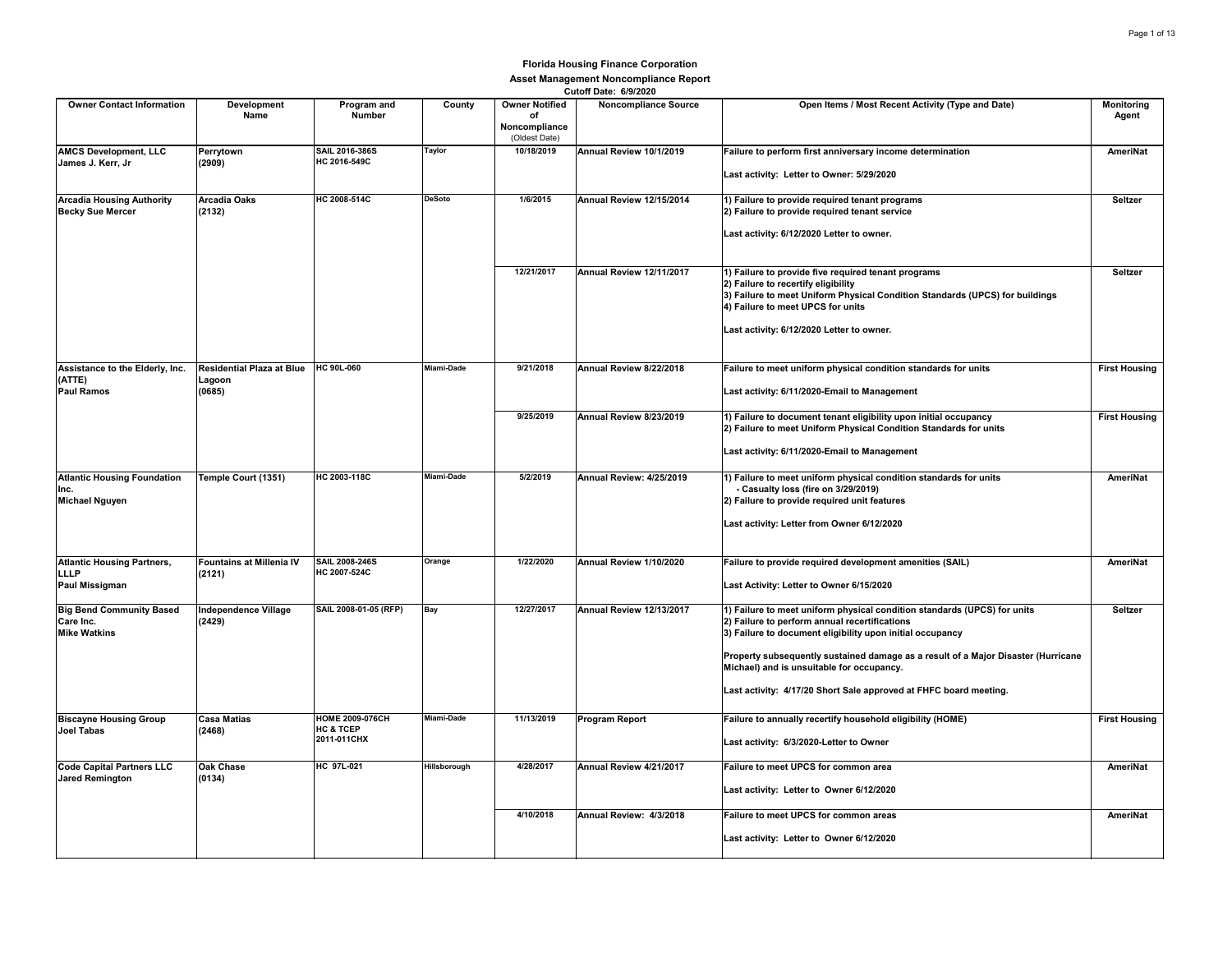|                                                                           |                                                          |                                                               |               |                                                               | <b>UULUII DALE.</b> UIJIZUZU |                                                                                                                                                                                                                                                                                                                                                                                               |                            |
|---------------------------------------------------------------------------|----------------------------------------------------------|---------------------------------------------------------------|---------------|---------------------------------------------------------------|------------------------------|-----------------------------------------------------------------------------------------------------------------------------------------------------------------------------------------------------------------------------------------------------------------------------------------------------------------------------------------------------------------------------------------------|----------------------------|
| <b>Owner Contact Information</b>                                          | Development<br>Name                                      | Program and<br><b>Number</b>                                  | County        | <b>Owner Notified</b><br>of<br>Noncompliance<br>(Oldest Date) | <b>Noncompliance Source</b>  | Open Items / Most Recent Activity (Type and Date)                                                                                                                                                                                                                                                                                                                                             | <b>Monitoring</b><br>Agent |
| <b>AMCS Development, LLC</b><br>James J. Kerr, Jr                         | Perrytown<br>(2909)                                      | SAIL 2016-386S<br>HC 2016-549C                                | <b>Taylor</b> | 10/18/2019                                                    | Annual Review 10/1/2019      | Failure to perform first anniversary income determination<br>Last activity: Letter to Owner: 5/29/2020                                                                                                                                                                                                                                                                                        | <b>AmeriNat</b>            |
| <b>Arcadia Housing Authority</b><br><b>Becky Sue Mercer</b>               | <b>Arcadia Oaks</b><br>(2132)                            | HC 2008-514C                                                  | <b>DeSoto</b> | 1/6/2015                                                      | Annual Review 12/15/2014     | 1) Failure to provide required tenant programs<br>2) Failure to provide required tenant service<br>Last activity: 6/12/2020 Letter to owner.                                                                                                                                                                                                                                                  | Seltzer                    |
|                                                                           |                                                          |                                                               |               | 12/21/2017                                                    | Annual Review 12/11/2017     | 1) Failure to provide five required tenant programs<br>2) Failure to recertify eligibility<br>3) Failure to meet Uniform Physical Condition Standards (UPCS) for buildings<br>4) Failure to meet UPCS for units<br>Last activity: 6/12/2020 Letter to owner.                                                                                                                                  | Seltzer                    |
| Assistance to the Elderly, Inc.<br>(ATTE)<br><b>Paul Ramos</b>            | Residential Plaza at Blue HC 90L-060<br>Lagoon<br>(0685) |                                                               | Miami-Dade    | 9/21/2018                                                     | Annual Review 8/22/2018      | Failure to meet uniform physical condition standards for units<br>Last activity: 6/11/2020-Email to Management                                                                                                                                                                                                                                                                                | <b>First Housing</b>       |
|                                                                           |                                                          |                                                               |               | 9/25/2019                                                     | Annual Review 8/23/2019      | 1) Failure to document tenant eligibility upon initial occupancy<br>2) Failure to meet Uniform Physical Condition Standards for units<br>Last activity: 6/11/2020-Email to Management                                                                                                                                                                                                         | <b>First Housing</b>       |
| <b>Atlantic Housing Foundation</b><br>Inc.<br><b>Michael Nguyen</b>       | Temple Court (1351)                                      | HC 2003-118C                                                  | Miami-Dade    | 5/2/2019                                                      | Annual Review: 4/25/2019     | 1) Failure to meet uniform physical condition standards for units<br>- Casualty loss (fire on 3/29/2019)<br>2) Failure to provide required unit features<br>Last activity: Letter from Owner 6/12/2020                                                                                                                                                                                        | AmeriNat                   |
| <b>Atlantic Housing Partners,</b><br><b>LLLP</b><br><b>Paul Missigman</b> | <b>Fountains at Millenia IV</b><br>(2121)                | <b>SAIL 2008-246S</b><br>HC 2007-524C                         | Orange        | 1/22/2020                                                     | Annual Review 1/10/2020      | Failure to provide required development amenities (SAIL)<br>Last Activity: Letter to Owner 6/15/2020                                                                                                                                                                                                                                                                                          | AmeriNat                   |
| <b>Big Bend Community Based</b><br>Care Inc.<br><b>Mike Watkins</b>       | <b>Independence Village</b><br>(2429)                    | SAIL 2008-01-05 (RFP)                                         | Bay           | 12/27/2017                                                    | Annual Review 12/13/2017     | 1) Failure to meet uniform physical condition standards (UPCS) for units<br>2) Failure to perform annual recertifications<br>3) Failure to document eligibility upon initial occupancy<br>Property subsequently sustained damage as a result of a Major Disaster (Hurricane<br>Michael) and is unsuitable for occupancy.<br>Last activity: 4/17/20 Short Sale approved at FHFC board meeting. | Seltzer                    |
| <b>Biscayne Housing Group</b><br><b>Joel Tabas</b>                        | <b>Casa Matias</b><br>(2468)                             | <b>HOME 2009-076CH</b><br><b>HC &amp; TCEP</b><br>2011-011CHX | Miami-Dade    | 11/13/2019                                                    | <b>Program Report</b>        | Failure to annually recertify household eligibility (HOME)<br>Last activity: 6/3/2020-Letter to Owner                                                                                                                                                                                                                                                                                         | <b>First Housing</b>       |
| <b>Code Capital Partners LLC</b><br><b>Jared Remington</b>                | <b>Oak Chase</b><br>(0134)                               | <b>HC 97L-021</b>                                             | Hillsborough  | 4/28/2017                                                     | Annual Review 4/21/2017      | Failure to meet UPCS for common area<br>Last activity: Letter to Owner 6/12/2020                                                                                                                                                                                                                                                                                                              | AmeriNat                   |
|                                                                           |                                                          |                                                               |               | 4/10/2018                                                     | Annual Review: 4/3/2018      | Failure to meet UPCS for common areas<br>Last activity: Letter to Owner 6/12/2020                                                                                                                                                                                                                                                                                                             | AmeriNat                   |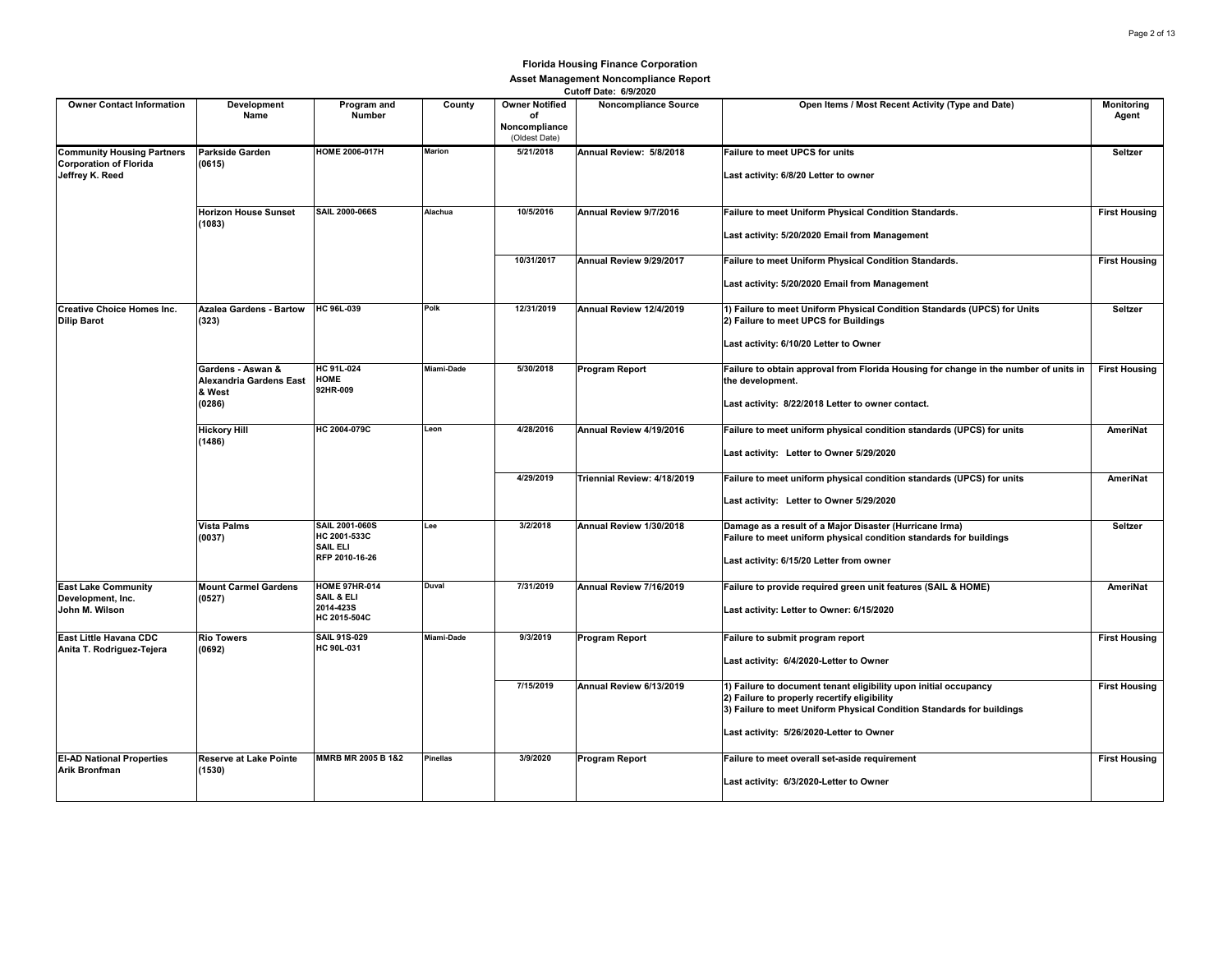| <b>Owner Contact Information</b>                                                      | Development<br>Name                                              | Program and<br>Number                                                      | County          | <b>Owner Notified</b><br>οf<br>Noncompliance<br>(Oldest Date) | VULVII PALU. VIJILVLV<br><b>Noncompliance Source</b> | Open Items / Most Recent Activity (Type and Date)                                                                                                                                                                                     | <b>Monitoring</b><br>Agent |
|---------------------------------------------------------------------------------------|------------------------------------------------------------------|----------------------------------------------------------------------------|-----------------|---------------------------------------------------------------|------------------------------------------------------|---------------------------------------------------------------------------------------------------------------------------------------------------------------------------------------------------------------------------------------|----------------------------|
| <b>Community Housing Partners</b><br><b>Corporation of Florida</b><br>Jeffrey K. Reed | <b>Parkside Garden</b><br>(0615)                                 | <b>HOME 2006-017H</b>                                                      | <b>Marion</b>   | 5/21/2018                                                     | Annual Review: 5/8/2018                              | <b>Failure to meet UPCS for units</b><br>Last activity: 6/8/20 Letter to owner                                                                                                                                                        | Seltzer                    |
|                                                                                       | <b>Horizon House Sunset</b><br>(1083)                            | <b>SAIL 2000-066S</b>                                                      | Alachua         | 10/5/2016                                                     | Annual Review 9/7/2016                               | Failure to meet Uniform Physical Condition Standards.<br>Last activity: 5/20/2020 Email from Management                                                                                                                               | <b>First Housing</b>       |
|                                                                                       |                                                                  |                                                                            |                 | 10/31/2017                                                    | Annual Review 9/29/2017                              | Failure to meet Uniform Physical Condition Standards.<br>Last activity: 5/20/2020 Email from Management                                                                                                                               | <b>First Housing</b>       |
| <b>Creative Choice Homes Inc.</b><br><b>Dilip Barot</b>                               | <b>Azalea Gardens - Bartow</b><br>(323)                          | HC 96L-039                                                                 | Polk            | 12/31/2019                                                    | Annual Review 12/4/2019                              | 1) Failure to meet Uniform Physical Condition Standards (UPCS) for Units<br>2) Failure to meet UPCS for Buildings<br>Last activity: 6/10/20 Letter to Owner                                                                           | Seltzer                    |
|                                                                                       | Gardens - Aswan &<br>Alexandria Gardens East<br>& West<br>(0286) | HC 91L-024<br><b>HOME</b><br>92HR-009                                      | Miami-Dade      | 5/30/2018                                                     | <b>Program Report</b>                                | Failure to obtain approval from Florida Housing for change in the number of units in<br>the development.<br>Last activity: 8/22/2018 Letter to owner contact.                                                                         | <b>First Housing</b>       |
|                                                                                       | <b>Hickory Hill</b><br>(1486)                                    | HC 2004-079C                                                               | Leon            | 4/28/2016                                                     | Annual Review 4/19/2016                              | Failure to meet uniform physical condition standards (UPCS) for units<br>Last activity: Letter to Owner 5/29/2020                                                                                                                     | AmeriNat                   |
|                                                                                       |                                                                  |                                                                            |                 | 4/29/2019                                                     | Triennial Review: 4/18/2019                          | Failure to meet uniform physical condition standards (UPCS) for units<br>Last activity: Letter to Owner 5/29/2020                                                                                                                     | AmeriNat                   |
|                                                                                       | <b>Vista Palms</b><br>(0037)                                     | <b>SAIL 2001-060S</b><br>HC 2001-533C<br><b>SAIL ELI</b><br>RFP 2010-16-26 | Lee             | 3/2/2018                                                      | Annual Review 1/30/2018                              | Damage as a result of a Major Disaster (Hurricane Irma)<br>Failure to meet uniform physical condition standards for buildings<br>Last activity: 6/15/20 Letter from owner                                                             | Seltzer                    |
| <b>East Lake Community</b><br>Development, Inc.<br>John M. Wilson                     | <b>Mount Carmel Gardens</b><br>(0527)                            | <b>HOME 97HR-014</b><br>SAIL & ELI<br>2014-423S<br>HC 2015-504C            | <b>Duval</b>    | 7/31/2019                                                     | Annual Review 7/16/2019                              | Failure to provide required green unit features (SAIL & HOME)<br>Last activity: Letter to Owner: 6/15/2020                                                                                                                            | AmeriNat                   |
| East Little Havana CDC<br>Anita T. Rodriguez-Tejera                                   | <b>Rio Towers</b><br>(0692)                                      | <b>SAIL 91S-029</b><br>HC 90L-031                                          | Miami-Dade      | 9/3/2019                                                      | Program Report                                       | Failure to submit program report<br>Last activity: 6/4/2020-Letter to Owner                                                                                                                                                           | <b>First Housing</b>       |
|                                                                                       |                                                                  |                                                                            |                 | 7/15/2019                                                     | Annual Review 6/13/2019                              | 1) Failure to document tenant eligibility upon initial occupancy<br>2) Failure to properly recertify eligibility<br>3) Failure to meet Uniform Physical Condition Standards for buildings<br>Last activity: 5/26/2020-Letter to Owner | <b>First Housing</b>       |
| <b>EI-AD National Properties</b><br>Arik Bronfman                                     | <b>Reserve at Lake Pointe</b><br>(1530)                          | MMRB MR 2005 B 1&2                                                         | <b>Pinellas</b> | 3/9/2020                                                      | Program Report                                       | Failure to meet overall set-aside requirement<br>Last activity: 6/3/2020-Letter to Owner                                                                                                                                              | <b>First Housing</b>       |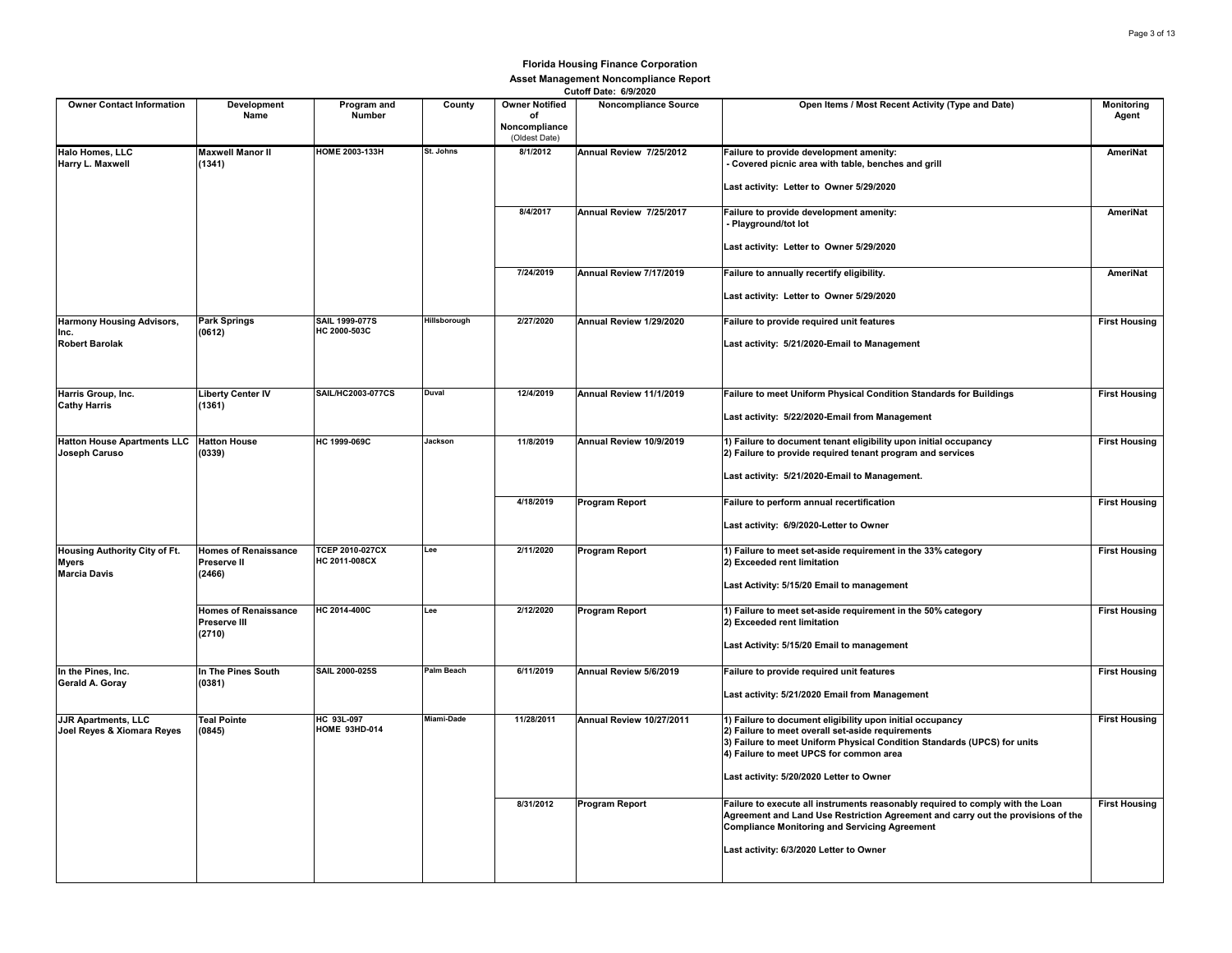| <b>Owner Contact Information</b>                                     | Development<br>Name                                  | Program and<br>Number                   | County       | <b>Owner Notified</b><br>of    | VULVII DOLG. VIJILVLV<br><b>Noncompliance Source</b> | Open Items / Most Recent Activity (Type and Date)                                                                                                                                                                                     | Monitoring<br>Agent  |
|----------------------------------------------------------------------|------------------------------------------------------|-----------------------------------------|--------------|--------------------------------|------------------------------------------------------|---------------------------------------------------------------------------------------------------------------------------------------------------------------------------------------------------------------------------------------|----------------------|
|                                                                      |                                                      |                                         |              | Noncompliance<br>(Oldest Date) |                                                      |                                                                                                                                                                                                                                       |                      |
| Halo Homes, LLC<br>Harry L. Maxwell                                  | <b>Maxwell Manor II</b><br>(1341)                    | HOME 2003-133H                          | St. Johns    | 8/1/2012                       | Annual Review 7/25/2012                              | Failure to provide development amenity:<br>Covered picnic area with table, benches and grill                                                                                                                                          | <b>AmeriNat</b>      |
|                                                                      |                                                      |                                         |              |                                |                                                      | Last activity: Letter to Owner 5/29/2020                                                                                                                                                                                              |                      |
|                                                                      |                                                      |                                         |              | 8/4/2017                       | Annual Review 7/25/2017                              | Failure to provide development amenity:<br>- Playground/tot lot                                                                                                                                                                       | AmeriNat             |
|                                                                      |                                                      |                                         |              |                                |                                                      | Last activity: Letter to Owner 5/29/2020                                                                                                                                                                                              |                      |
|                                                                      |                                                      |                                         |              | 7/24/2019                      | Annual Review 7/17/2019                              | Failure to annually recertify eligibility.                                                                                                                                                                                            | AmeriNat             |
|                                                                      |                                                      |                                         |              |                                |                                                      | Last activity: Letter to Owner 5/29/2020                                                                                                                                                                                              |                      |
| <b>Harmony Housing Advisors,</b><br>Inc.                             | <b>Park Springs</b><br>(0612)                        | SAIL 1999-077S<br>HC 2000-503C          | Hillsborough | 2/27/2020                      | Annual Review 1/29/2020                              | Failure to provide required unit features                                                                                                                                                                                             | <b>First Housing</b> |
| <b>Robert Barolak</b>                                                |                                                      |                                         |              |                                |                                                      | Last activity: 5/21/2020-Email to Management                                                                                                                                                                                          |                      |
| Harris Group, Inc.                                                   | <b>Liberty Center IV</b>                             | <b>SAIL/HC2003-077CS</b>                | Duval        | 12/4/2019                      | Annual Review 11/1/2019                              | Failure to meet Uniform Physical Condition Standards for Buildings                                                                                                                                                                    | <b>First Housing</b> |
| <b>Cathy Harris</b>                                                  | (1361)                                               |                                         |              |                                |                                                      | Last activity: 5/22/2020-Email from Management                                                                                                                                                                                        |                      |
| Hatton House Apartments LLC   Hatton House                           |                                                      | HC 1999-069C                            | Jackson      | 11/8/2019                      | Annual Review 10/9/2019                              | 1) Failure to document tenant eligibility upon initial occupancy                                                                                                                                                                      | <b>First Housing</b> |
| Joseph Caruso                                                        | (0339)                                               |                                         |              |                                |                                                      | 2) Failure to provide required tenant program and services                                                                                                                                                                            |                      |
|                                                                      |                                                      |                                         |              |                                |                                                      | Last activity: 5/21/2020-Email to Management.                                                                                                                                                                                         |                      |
|                                                                      |                                                      |                                         |              | 4/18/2019                      | <b>Program Report</b>                                | Failure to perform annual recertification                                                                                                                                                                                             | <b>First Housing</b> |
|                                                                      |                                                      |                                         |              |                                |                                                      | Last activity: 6/9/2020-Letter to Owner                                                                                                                                                                                               |                      |
| Housing Authority City of Ft.<br><b>Myers</b><br><b>Marcia Davis</b> | <b>Homes of Renaissance</b><br>Preserve II<br>(2466) | <b>TCEP 2010-027CX</b><br>HC 2011-008CX | Lee          | 2/11/2020                      | Program Report                                       | 1) Failure to meet set-aside requirement in the 33% category<br>2) Exceeded rent limitation                                                                                                                                           | <b>First Housing</b> |
|                                                                      |                                                      |                                         |              |                                |                                                      | Last Activity: 5/15/20 Email to management                                                                                                                                                                                            |                      |
|                                                                      | <b>Homes of Renaissance</b><br>Preserve III          | HC 2014-400C                            | Lee          | 2/12/2020                      | <b>Program Report</b>                                | 1) Failure to meet set-aside requirement in the 50% category<br>2) Exceeded rent limitation                                                                                                                                           | <b>First Housing</b> |
|                                                                      | (2710)                                               |                                         |              |                                |                                                      | Last Activity: 5/15/20 Email to management                                                                                                                                                                                            |                      |
| In the Pines, Inc.                                                   | In The Pines South                                   | SAIL 2000-025S                          | Palm Beach   | 6/11/2019                      | Annual Review 5/6/2019                               | Failure to provide required unit features                                                                                                                                                                                             | <b>First Housing</b> |
| Gerald A. Goray                                                      | (0381)                                               |                                         |              |                                |                                                      | Last activity: 5/21/2020 Email from Management                                                                                                                                                                                        |                      |
| <b>JJR Apartments, LLC</b><br>Joel Reyes & Xiomara Reyes             | <b>Teal Pointe</b><br>(0845)                         | HC 93L-097<br><b>HOME 93HD-014</b>      | Miami-Dade   | 11/28/2011                     | Annual Review 10/27/2011                             | 1) Failure to document eligibility upon initial occupancy<br>2) Failure to meet overall set-aside requirements<br>3) Failure to meet Uniform Physical Condition Standards (UPCS) for units<br>4) Failure to meet UPCS for common area | <b>First Housing</b> |
|                                                                      |                                                      |                                         |              |                                |                                                      | Last activity: 5/20/2020 Letter to Owner                                                                                                                                                                                              |                      |
|                                                                      |                                                      |                                         |              | 8/31/2012                      | <b>Program Report</b>                                | Failure to execute all instruments reasonably required to comply with the Loan<br>Agreement and Land Use Restriction Agreement and carry out the provisions of the<br><b>Compliance Monitoring and Servicing Agreement</b>            | <b>First Housing</b> |
|                                                                      |                                                      |                                         |              |                                |                                                      | Last activity: 6/3/2020 Letter to Owner                                                                                                                                                                                               |                      |
|                                                                      |                                                      |                                         |              |                                |                                                      |                                                                                                                                                                                                                                       |                      |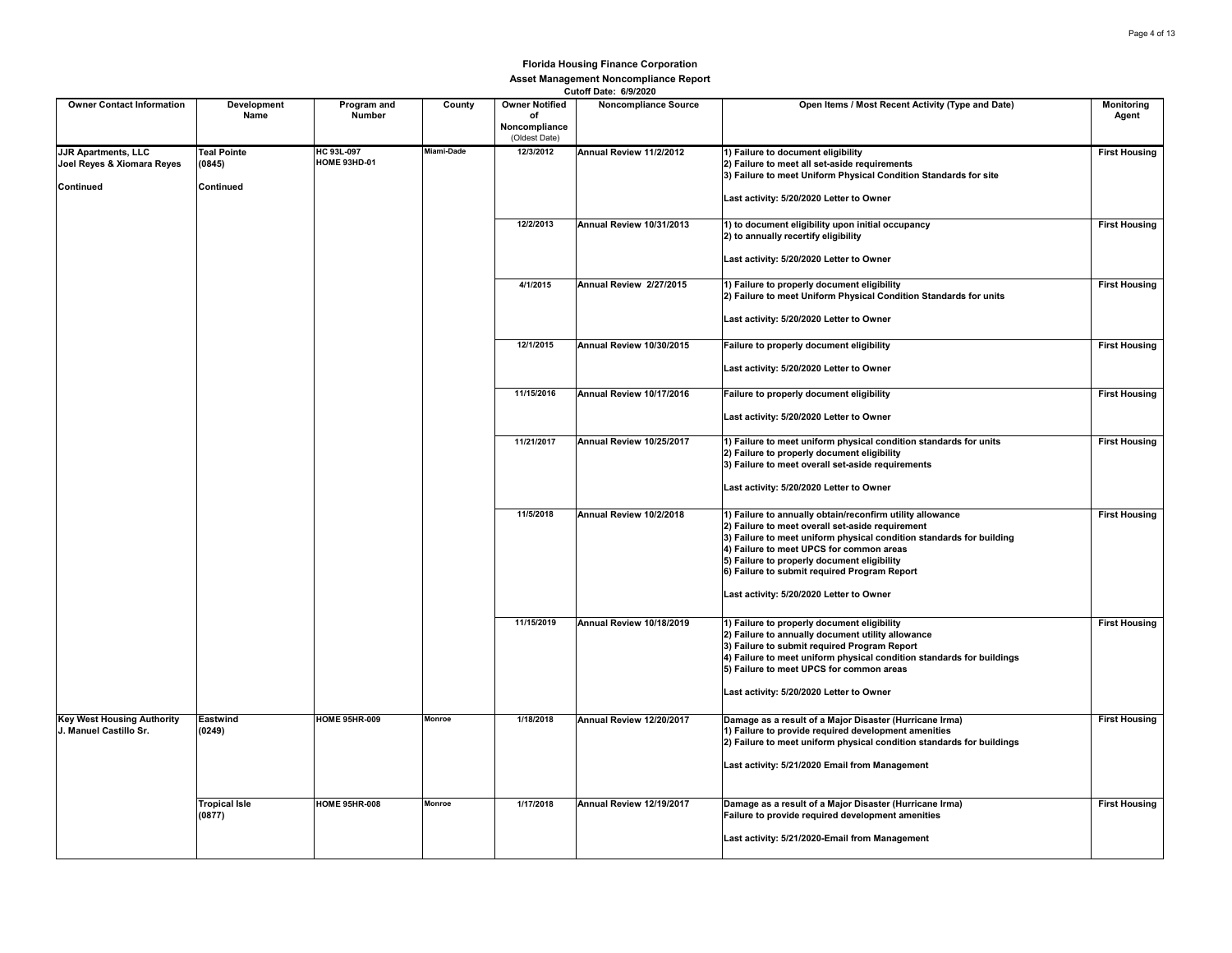|                                                                       |                                           |                                   |               |                                                               | Cutom Date: 6/9/2020        |                                                                                                                                                                                                                                                                                                                                                                              |                            |
|-----------------------------------------------------------------------|-------------------------------------------|-----------------------------------|---------------|---------------------------------------------------------------|-----------------------------|------------------------------------------------------------------------------------------------------------------------------------------------------------------------------------------------------------------------------------------------------------------------------------------------------------------------------------------------------------------------------|----------------------------|
| <b>Owner Contact Information</b>                                      | Development<br>Name                       | Program and<br>Number             | County        | <b>Owner Notified</b><br>of<br>Noncompliance<br>(Oldest Date) | <b>Noncompliance Source</b> | Open Items / Most Recent Activity (Type and Date)                                                                                                                                                                                                                                                                                                                            | <b>Monitoring</b><br>Agent |
| <b>JJR Apartments, LLC</b><br>Joel Reyes & Xiomara Reyes<br>Continued | <b>Teal Pointe</b><br>(0845)<br>Continued | HC 93L-097<br><b>HOME 93HD-01</b> | Miami-Dade    | 12/3/2012                                                     | Annual Review 11/2/2012     | 1) Failure to document eligibility<br>2) Failure to meet all set-aside requirements<br>3) Failure to meet Uniform Physical Condition Standards for site<br>Last activity: 5/20/2020 Letter to Owner                                                                                                                                                                          | <b>First Housing</b>       |
|                                                                       |                                           |                                   |               | 12/2/2013                                                     | Annual Review 10/31/2013    | 1) to document eligibility upon initial occupancy<br>2) to annually recertify eligibility<br>Last activity: 5/20/2020 Letter to Owner                                                                                                                                                                                                                                        | <b>First Housing</b>       |
|                                                                       |                                           |                                   |               | 4/1/2015                                                      | Annual Review 2/27/2015     | 1) Failure to properly document eligibility<br>2) Failure to meet Uniform Physical Condition Standards for units<br>Last activity: 5/20/2020 Letter to Owner                                                                                                                                                                                                                 | <b>First Housing</b>       |
|                                                                       |                                           |                                   |               | 12/1/2015                                                     | Annual Review 10/30/2015    | Failure to properly document eligibility<br>Last activity: 5/20/2020 Letter to Owner                                                                                                                                                                                                                                                                                         | <b>First Housing</b>       |
|                                                                       |                                           |                                   |               | 11/15/2016                                                    | Annual Review 10/17/2016    | Failure to properly document eligibility<br>Last activity: 5/20/2020 Letter to Owner                                                                                                                                                                                                                                                                                         | <b>First Housing</b>       |
|                                                                       |                                           |                                   |               | 11/21/2017                                                    | Annual Review 10/25/2017    | 1) Failure to meet uniform physical condition standards for units<br>2) Failure to properly document eligibility<br>3) Failure to meet overall set-aside requirements<br>Last activity: 5/20/2020 Letter to Owner                                                                                                                                                            | <b>First Housing</b>       |
|                                                                       |                                           |                                   |               | 11/5/2018                                                     | Annual Review 10/2/2018     | 1) Failure to annually obtain/reconfirm utility allowance<br>2) Failure to meet overall set-aside requirement<br>3) Failure to meet uniform physical condition standards for building<br>4) Failure to meet UPCS for common areas<br>5) Failure to properly document eligibility<br>6) Failure to submit required Program Report<br>Last activity: 5/20/2020 Letter to Owner | <b>First Housing</b>       |
|                                                                       |                                           |                                   |               | 11/15/2019                                                    | Annual Review 10/18/2019    | 1) Failure to properly document eligibility<br>2) Failure to annually document utility allowance<br>3) Failure to submit required Program Report<br>4) Failure to meet uniform physical condition standards for buildings<br>5) Failure to meet UPCS for common areas<br>Last activity: 5/20/2020 Letter to Owner                                                            | <b>First Housing</b>       |
| <b>Key West Housing Authority</b><br>J. Manuel Castillo Sr.           | Eastwind<br>(0249)                        | <b>HOME 95HR-009</b>              | <b>Monroe</b> | 1/18/2018                                                     | Annual Review 12/20/2017    | Damage as a result of a Major Disaster (Hurricane Irma)<br>1) Failure to provide required development amenities<br>2) Failure to meet uniform physical condition standards for buildings<br>Last activity: 5/21/2020 Email from Management                                                                                                                                   | <b>First Housing</b>       |
|                                                                       | <b>Tropical Isle</b><br>(0877)            | <b>HOME 95HR-008</b>              | Monroe        | 1/17/2018                                                     | Annual Review 12/19/2017    | Damage as a result of a Major Disaster (Hurricane Irma)<br>Failure to provide required development amenities<br>Last activity: 5/21/2020-Email from Management                                                                                                                                                                                                               | <b>First Housing</b>       |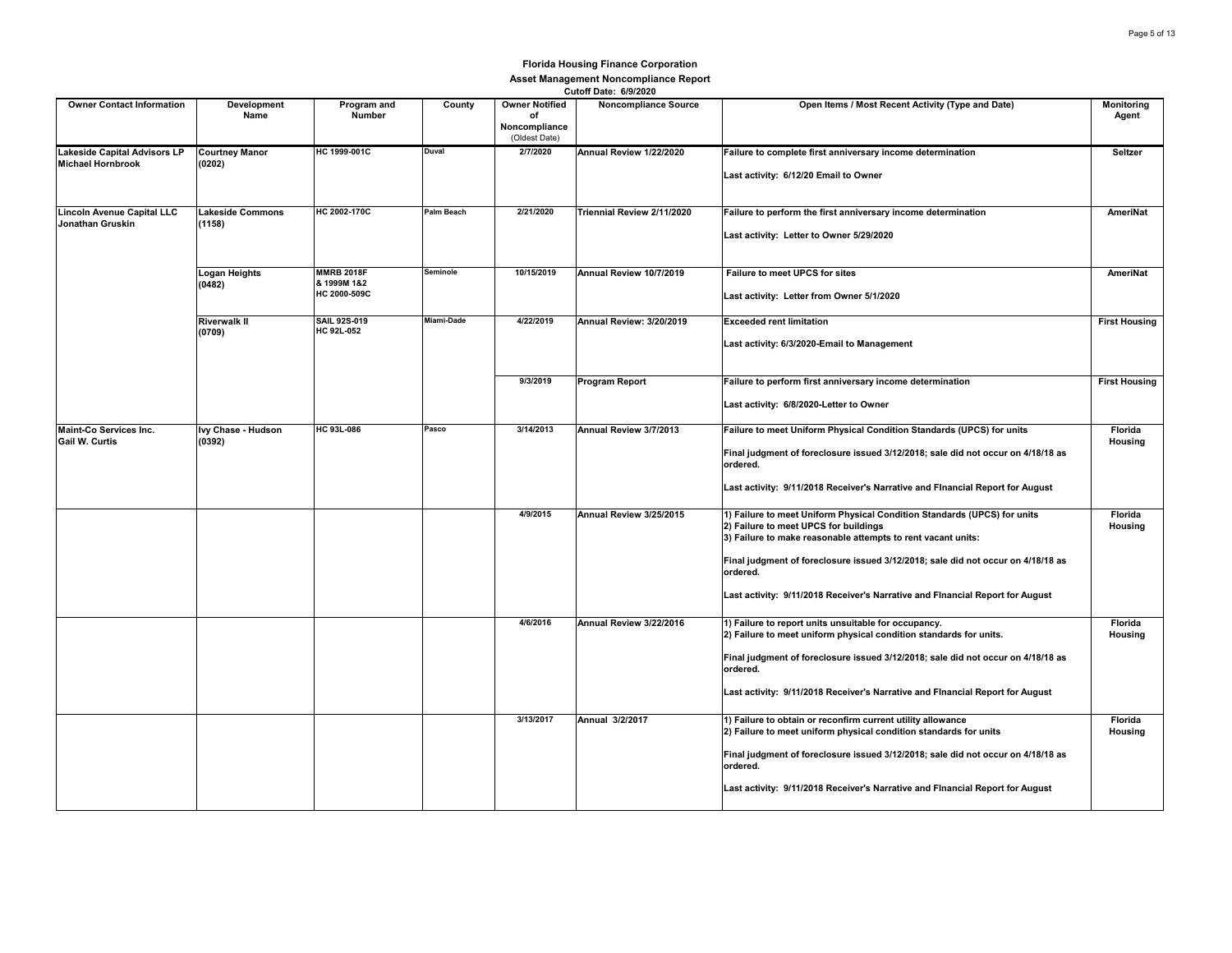| <b>Owner Contact Information</b>                         | Development<br>Name               | Program and<br><b>Number</b>                     | County     | <b>Owner Notified</b><br>of<br>Noncompliance<br>(Oldest Date) | <b>Noncompliance Source</b> | Open Items / Most Recent Activity (Type and Date)                                                                                                                                                                                                                                                                                                                  | Monitoring<br>Agent  |
|----------------------------------------------------------|-----------------------------------|--------------------------------------------------|------------|---------------------------------------------------------------|-----------------------------|--------------------------------------------------------------------------------------------------------------------------------------------------------------------------------------------------------------------------------------------------------------------------------------------------------------------------------------------------------------------|----------------------|
| Lakeside Capital Advisors LP<br><b>Michael Hornbrook</b> | <b>Courtney Manor</b><br>(0202)   | HC 1999-001C                                     | Duval      | 2/7/2020                                                      | Annual Review 1/22/2020     | Failure to complete first anniversary income determination<br>Last activity: 6/12/20 Email to Owner                                                                                                                                                                                                                                                                | Seltzer              |
| Lincoln Avenue Capital LLC<br>Jonathan Gruskin           | <b>Lakeside Commons</b><br>(1158) | HC 2002-170C                                     | Palm Beach | 2/21/2020                                                     | Triennial Review 2/11/2020  | Failure to perform the first anniversary income determination<br>Last activity: Letter to Owner 5/29/2020                                                                                                                                                                                                                                                          | AmeriNat             |
|                                                          | <b>Logan Heights</b><br>(0482)    | <b>MMRB 2018F</b><br>& 1999M 1&2<br>HC 2000-509C | Seminole   | 10/15/2019                                                    | Annual Review 10/7/2019     | Failure to meet UPCS for sites<br>Last activity: Letter from Owner 5/1/2020                                                                                                                                                                                                                                                                                        | AmeriNat             |
|                                                          | <b>Riverwalk II</b><br>(0709)     | SAIL 92S-019<br><b>HC 92L-052</b>                | Miami-Dade | 4/22/2019                                                     | Annual Review: 3/20/2019    | <b>Exceeded rent limitation</b><br>Last activity: 6/3/2020-Email to Management                                                                                                                                                                                                                                                                                     | <b>First Housing</b> |
|                                                          |                                   |                                                  |            | 9/3/2019                                                      | Program Report              | Failure to perform first anniversary income determination<br>Last activity: 6/8/2020-Letter to Owner                                                                                                                                                                                                                                                               | <b>First Housing</b> |
| <b>Maint-Co Services Inc.</b><br>Gail W. Curtis          | Ivy Chase - Hudson<br>(0392)      | HC 93L-086                                       | Pasco      | 3/14/2013                                                     | Annual Review 3/7/2013      | Failure to meet Uniform Physical Condition Standards (UPCS) for units<br>Final judgment of foreclosure issued 3/12/2018; sale did not occur on 4/18/18 as<br>ordered.<br>Last activity: 9/11/2018 Receiver's Narrative and Flnancial Report for August                                                                                                             | Florida<br>Housing   |
|                                                          |                                   |                                                  |            | 4/9/2015                                                      | Annual Review 3/25/2015     | 1) Failure to meet Uniform Physical Condition Standards (UPCS) for units<br>2) Failure to meet UPCS for buildings<br>3) Failure to make reasonable attempts to rent vacant units:<br>Final judgment of foreclosure issued 3/12/2018; sale did not occur on 4/18/18 as<br>ordered.<br>Last activity: 9/11/2018 Receiver's Narrative and Flnancial Report for August | Florida<br>Housing   |
|                                                          |                                   |                                                  |            | 4/6/2016                                                      | Annual Review 3/22/2016     | 1) Failure to report units unsuitable for occupancy.<br>2) Failure to meet uniform physical condition standards for units.<br>Final judgment of foreclosure issued 3/12/2018; sale did not occur on 4/18/18 as<br>ordered.<br>Last activity: 9/11/2018 Receiver's Narrative and Flnancial Report for August                                                        | Florida<br>Housing   |
|                                                          |                                   |                                                  |            | 3/13/2017                                                     | Annual 3/2/2017             | 1) Failure to obtain or reconfirm current utility allowance<br>2) Failure to meet uniform physical condition standards for units<br>Final judgment of foreclosure issued 3/12/2018; sale did not occur on 4/18/18 as<br>ordered.<br>Last activity: 9/11/2018 Receiver's Narrative and Flnancial Report for August                                                  | Florida<br>Housing   |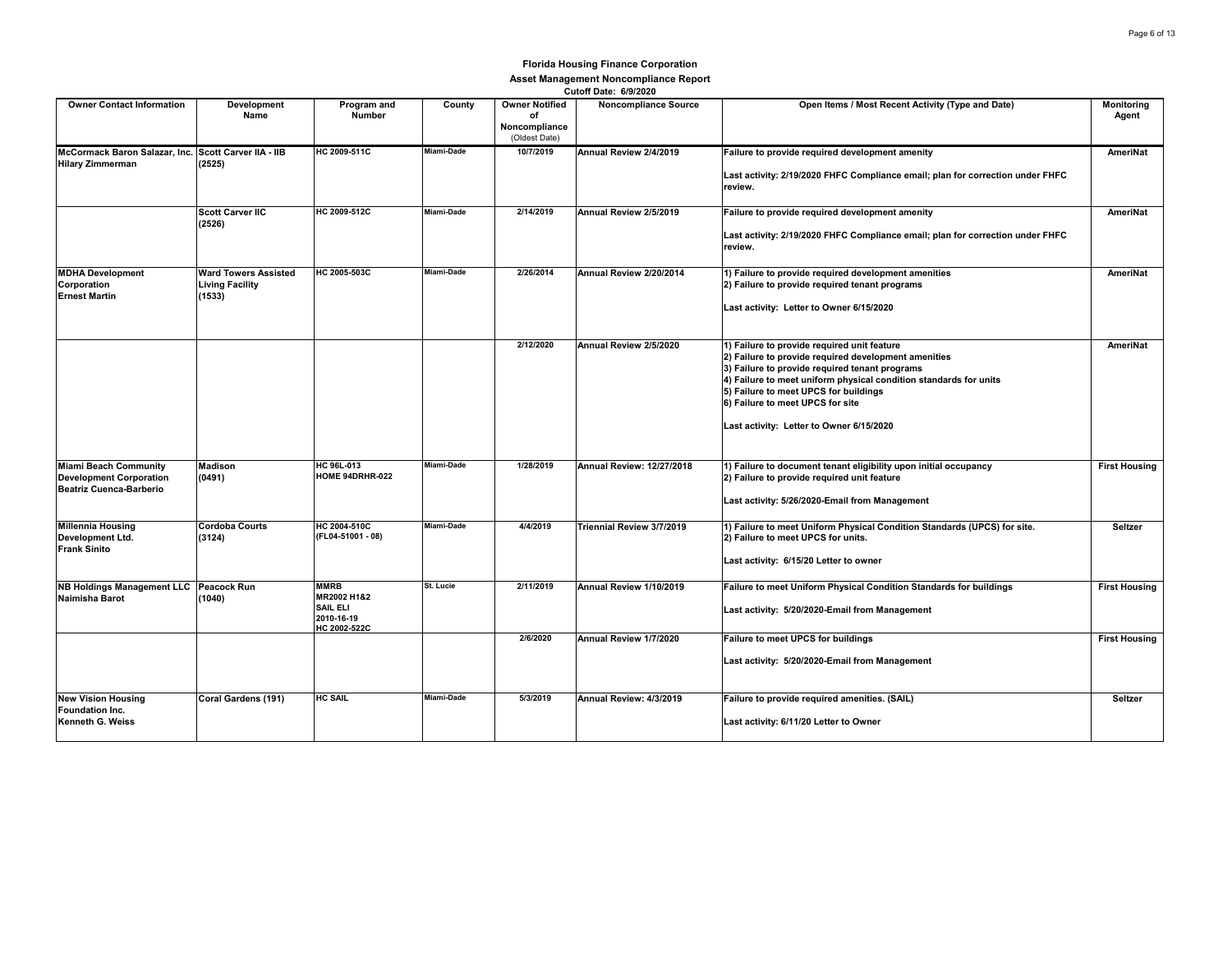|                                                                                           |                                                                 |                                                                             |                   |                                                               | GUION DAIG. 0/3/2020             |                                                                                                                                                                                                                                                                                                                                                     |                      |
|-------------------------------------------------------------------------------------------|-----------------------------------------------------------------|-----------------------------------------------------------------------------|-------------------|---------------------------------------------------------------|----------------------------------|-----------------------------------------------------------------------------------------------------------------------------------------------------------------------------------------------------------------------------------------------------------------------------------------------------------------------------------------------------|----------------------|
| <b>Owner Contact Information</b>                                                          | Development<br>Name                                             | Program and<br><b>Number</b>                                                | County            | <b>Owner Notified</b><br>of<br>Noncompliance<br>(Oldest Date) | <b>Noncompliance Source</b>      | Open Items / Most Recent Activity (Type and Date)                                                                                                                                                                                                                                                                                                   | Monitoring<br>Agent  |
| McCormack Baron Salazar, Inc. Scott Carver IIA - IIB<br><b>Hilary Zimmerman</b>           | (2525)                                                          | HC 2009-511C                                                                | Miami-Dade        | 10/7/2019                                                     | Annual Review 2/4/2019           | Failure to provide required development amenity<br>Last activity: 2/19/2020 FHFC Compliance email; plan for correction under FHFC<br>review.                                                                                                                                                                                                        | AmeriNat             |
|                                                                                           | <b>Scott Carver IIC</b><br>(2526)                               | HC 2009-512C                                                                | Miami-Dade        | 2/14/2019                                                     | Annual Review 2/5/2019           | Failure to provide required development amenity<br>Last activity: 2/19/2020 FHFC Compliance email; plan for correction under FHFC<br>review.                                                                                                                                                                                                        | AmeriNat             |
| <b>MDHA Development</b><br>Corporation<br><b>Ernest Martin</b>                            | <b>Ward Towers Assisted</b><br><b>Living Facility</b><br>(1533) | HC 2005-503C                                                                | Miami-Dade        | 2/26/2014                                                     | Annual Review 2/20/2014          | 1) Failure to provide required development amenities<br>2) Failure to provide required tenant programs<br>Last activity: Letter to Owner 6/15/2020                                                                                                                                                                                                  | AmeriNat             |
|                                                                                           |                                                                 |                                                                             |                   | 2/12/2020                                                     | Annual Review 2/5/2020           | 1) Failure to provide required unit feature<br>2) Failure to provide required development amenities<br>3) Failure to provide required tenant programs<br>4) Failure to meet uniform physical condition standards for units<br>5) Failure to meet UPCS for buildings<br>6) Failure to meet UPCS for site<br>Last activity: Letter to Owner 6/15/2020 | AmeriNat             |
| <b>Miami Beach Community</b><br><b>Development Corporation</b><br>Beatriz Cuenca-Barberio | Madison<br>(0491)                                               | HC 96L-013<br>HOME 94DRHR-022                                               | Miami-Dade        | 1/28/2019                                                     | <b>Annual Review: 12/27/2018</b> | 1) Failure to document tenant eligibility upon initial occupancy<br>2) Failure to provide required unit feature<br>Last activity: 5/26/2020-Email from Management                                                                                                                                                                                   | <b>First Housing</b> |
| <b>Millennia Housing</b><br>Development Ltd.<br><b>Frank Sinito</b>                       | <b>Cordoba Courts</b><br>(3124)                                 | HC 2004-510C<br>(FL04-51001 - 08)                                           | <b>Miami-Dade</b> | 4/4/2019                                                      | <b>Triennial Review 3/7/2019</b> | 1) Failure to meet Uniform Physical Condition Standards (UPCS) for site.<br>2) Failure to meet UPCS for units.<br>Last activity: 6/15/20 Letter to owner                                                                                                                                                                                            | Seltzer              |
| <b>NB Holdings Management LLC</b><br>Naimisha Barot                                       | Peacock Run<br>(1040)                                           | <b>MMRB</b><br>MR2002 H1&2<br><b>SAIL ELI</b><br>2010-16-19<br>HC 2002-522C | St. Lucie         | 2/11/2019                                                     | Annual Review 1/10/2019          | Failure to meet Uniform Physical Condition Standards for buildings<br>Last activity: 5/20/2020-Email from Management                                                                                                                                                                                                                                | <b>First Housing</b> |
|                                                                                           |                                                                 |                                                                             |                   | 2/6/2020                                                      | Annual Review 1/7/2020           | Failure to meet UPCS for buildings<br>Last activity: 5/20/2020-Email from Management                                                                                                                                                                                                                                                                | <b>First Housing</b> |
| <b>New Vision Housing</b><br>Foundation Inc.<br>Kenneth G. Weiss                          | Coral Gardens (191)                                             | <b>HC SAIL</b>                                                              | Miami-Dade        | 5/3/2019                                                      | Annual Review: 4/3/2019          | Failure to provide required amenities. (SAIL)<br>Last activity: 6/11/20 Letter to Owner                                                                                                                                                                                                                                                             | Seltzer              |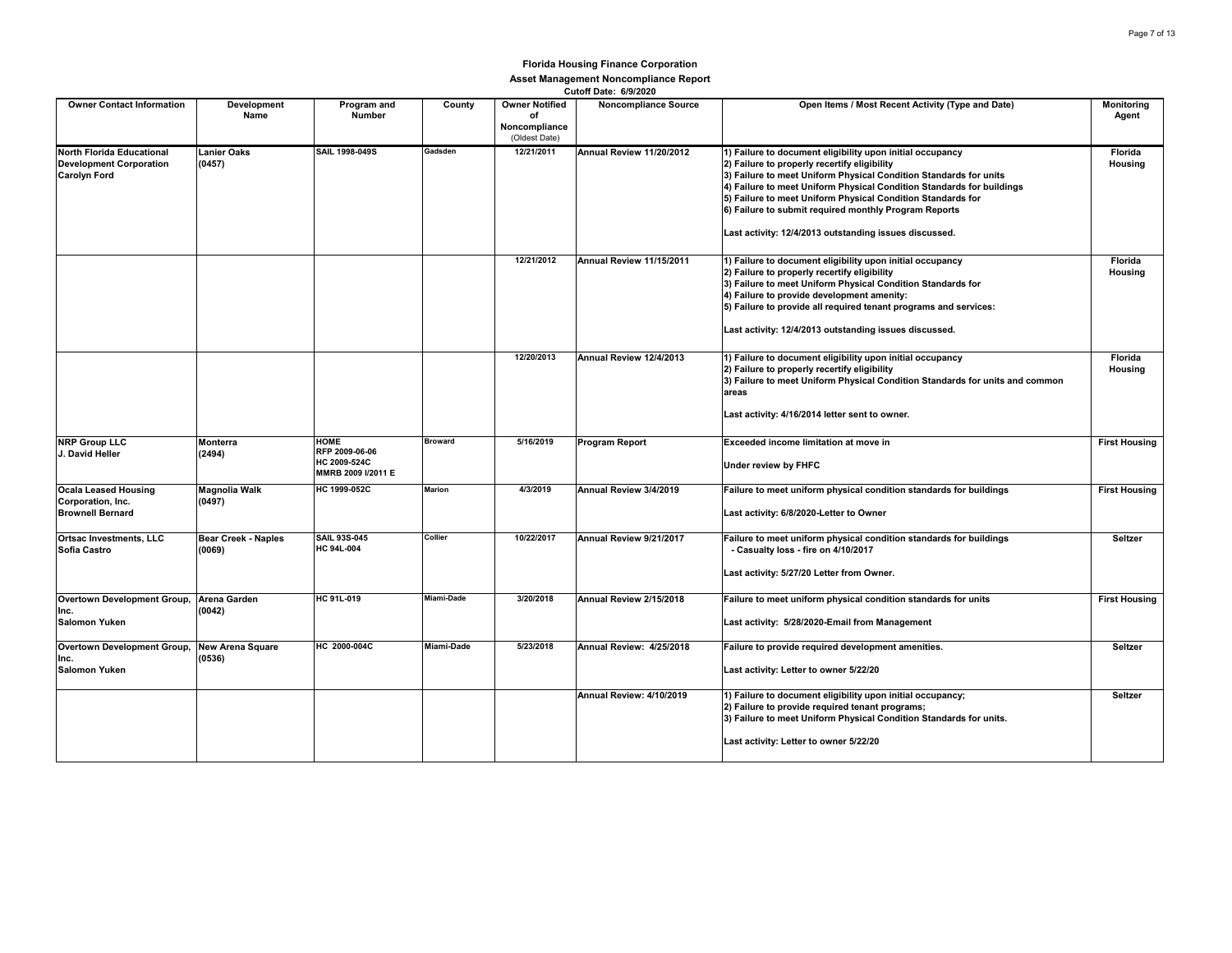| <b>Owner Contact Information</b>                                                   | Development<br>Name                  | Program and<br><b>Number</b>                                        | County         | <b>Owner Notified</b><br>of<br>Noncompliance<br>(Oldest Date) | <b>UULUII DALE.</b> UIJILULU<br><b>Noncompliance Source</b> | Open Items / Most Recent Activity (Type and Date)                                                                                                                                                                                                                                                                                                                                                                                         | <b>Monitoring</b><br>Agent |
|------------------------------------------------------------------------------------|--------------------------------------|---------------------------------------------------------------------|----------------|---------------------------------------------------------------|-------------------------------------------------------------|-------------------------------------------------------------------------------------------------------------------------------------------------------------------------------------------------------------------------------------------------------------------------------------------------------------------------------------------------------------------------------------------------------------------------------------------|----------------------------|
| North Florida Educational<br><b>Development Corporation</b><br><b>Carolyn Ford</b> | <b>Lanier Oaks</b><br>(0457)         | SAIL 1998-049S                                                      | Gadsden        | 12/21/2011                                                    | Annual Review 11/20/2012                                    | 1) Failure to document eligibility upon initial occupancy<br>2) Failure to properly recertify eligibility<br>3) Failure to meet Uniform Physical Condition Standards for units<br>4) Failure to meet Uniform Physical Condition Standards for buildings<br>5) Failure to meet Uniform Physical Condition Standards for<br>6) Failure to submit required monthly Program Reports<br>Last activity: 12/4/2013 outstanding issues discussed. | Florida<br>Housing         |
|                                                                                    |                                      |                                                                     |                | 12/21/2012                                                    | Annual Review 11/15/2011                                    | 1) Failure to document eligibility upon initial occupancy<br>2) Failure to properly recertify eligibility<br>3) Failure to meet Uniform Physical Condition Standards for<br>4) Failure to provide development amenity:<br>5) Failure to provide all required tenant programs and services:<br>Last activity: 12/4/2013 outstanding issues discussed.                                                                                      | Florida<br>Housing         |
|                                                                                    |                                      |                                                                     |                | 12/20/2013                                                    | Annual Review 12/4/2013                                     | 1) Failure to document eligibility upon initial occupancy<br>2) Failure to properly recertify eligibility<br>3) Failure to meet Uniform Physical Condition Standards for units and common<br>areas<br>Last activity: 4/16/2014 letter sent to owner.                                                                                                                                                                                      | Florida<br>Housing         |
| <b>NRP Group LLC</b><br>J. David Heller                                            | Monterra<br>(2494)                   | <b>HOME</b><br>RFP 2009-06-06<br>HC 2009-524C<br>MMRB 2009 I/2011 E | <b>Broward</b> | 5/16/2019                                                     | Program Report                                              | Exceeded income limitation at move in<br>Under review by FHFC                                                                                                                                                                                                                                                                                                                                                                             | <b>First Housing</b>       |
| <b>Ocala Leased Housing</b><br>Corporation, Inc.<br><b>Brownell Bernard</b>        | <b>Magnolia Walk</b><br>(0497)       | HC 1999-052C                                                        | <b>Marion</b>  | 4/3/2019                                                      | Annual Review 3/4/2019                                      | Failure to meet uniform physical condition standards for buildings<br>Last activity: 6/8/2020-Letter to Owner                                                                                                                                                                                                                                                                                                                             | <b>First Housing</b>       |
| Ortsac Investments, LLC<br>Sofia Castro                                            | <b>Bear Creek - Naples</b><br>(0069) | <b>SAIL 93S-045</b><br>HC 94L-004                                   | Collier        | 10/22/2017                                                    | Annual Review 9/21/2017                                     | Failure to meet uniform physical condition standards for buildings<br>- Casualty loss - fire on 4/10/2017<br>Last activity: 5/27/20 Letter from Owner.                                                                                                                                                                                                                                                                                    | Seltzer                    |
| Overtown Development Group,<br>Inc.<br><b>Salomon Yuken</b>                        | <b>Arena Garden</b><br>(0042)        | HC 91L-019                                                          | Miami-Dade     | 3/20/2018                                                     | Annual Review 2/15/2018                                     | Failure to meet uniform physical condition standards for units<br>Last activity: 5/28/2020-Email from Management                                                                                                                                                                                                                                                                                                                          | <b>First Housing</b>       |
| Overtown Development Group,<br>Inc.<br><b>Salomon Yuken</b>                        | <b>New Arena Square</b><br>(0536)    | HC 2000-004C                                                        | Miami-Dade     | 5/23/2018                                                     | Annual Review: 4/25/2018                                    | Failure to provide required development amenities.<br>Last activity: Letter to owner 5/22/20                                                                                                                                                                                                                                                                                                                                              | Seltzer                    |
|                                                                                    |                                      |                                                                     |                |                                                               | Annual Review: 4/10/2019                                    | 1) Failure to document eligibility upon initial occupancy;<br>2) Failure to provide required tenant programs;<br>3) Failure to meet Uniform Physical Condition Standards for units.<br>Last activity: Letter to owner 5/22/20                                                                                                                                                                                                             | Seltzer                    |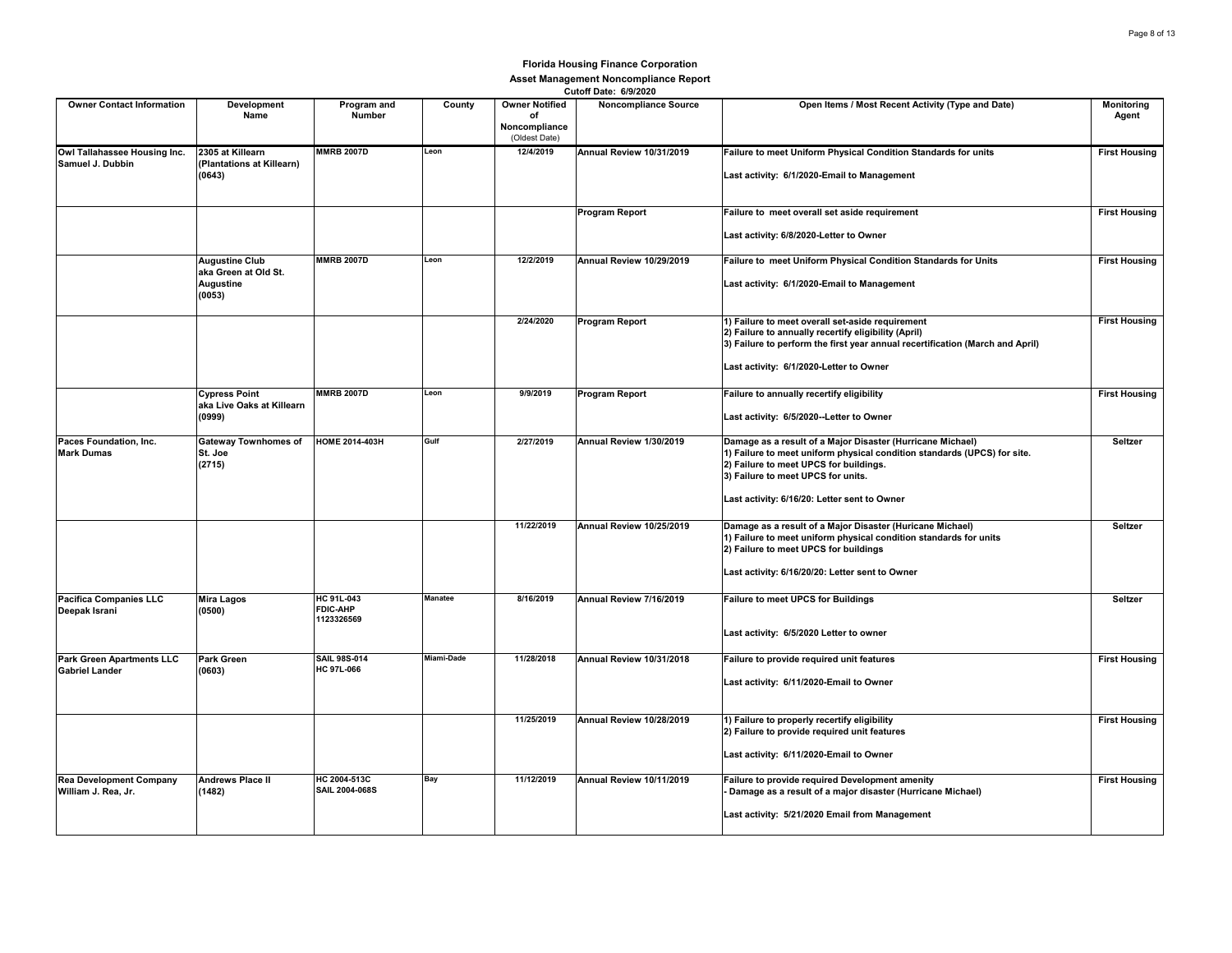|                                                           |                                                                      |                                                    |            |                                                               | VULVII DOLG. VIJILVLV    |                                                                                                                                                                                                                                                                        |                      |
|-----------------------------------------------------------|----------------------------------------------------------------------|----------------------------------------------------|------------|---------------------------------------------------------------|--------------------------|------------------------------------------------------------------------------------------------------------------------------------------------------------------------------------------------------------------------------------------------------------------------|----------------------|
| <b>Owner Contact Information</b>                          | Development<br>Name                                                  | Program and<br><b>Number</b>                       | County     | <b>Owner Notified</b><br>of<br>Noncompliance<br>(Oldest Date) | Noncompliance Source     | Open Items / Most Recent Activity (Type and Date)                                                                                                                                                                                                                      | Monitoring<br>Agent  |
| Owl Tallahassee Housing Inc.<br>Samuel J. Dubbin          | 2305 at Killearn<br>(Plantations at Killearn)<br>(0643)              | <b>MMRB 2007D</b>                                  | Leon       | 12/4/2019                                                     | Annual Review 10/31/2019 | Failure to meet Uniform Physical Condition Standards for units<br>Last activity: 6/1/2020-Email to Management                                                                                                                                                          | <b>First Housing</b> |
|                                                           |                                                                      |                                                    |            |                                                               | Program Report           | Failure to meet overall set aside requirement<br>Last activity: 6/8/2020-Letter to Owner                                                                                                                                                                               | <b>First Housing</b> |
|                                                           | <b>Augustine Club</b><br>aka Green at Old St.<br>Augustine<br>(0053) | <b>MMRB 2007D</b>                                  | Leon       | 12/2/2019                                                     | Annual Review 10/29/2019 | Failure to meet Uniform Physical Condition Standards for Units<br>Last activity: 6/1/2020-Email to Management                                                                                                                                                          | <b>First Housing</b> |
|                                                           |                                                                      |                                                    |            | 2/24/2020                                                     | <b>Program Report</b>    | 1) Failure to meet overall set-aside requirement<br>2) Failure to annually recertify eligibility (April)<br>3) Failure to perform the first year annual recertification (March and April)<br>Last activity: 6/1/2020-Letter to Owner                                   | <b>First Housing</b> |
|                                                           | <b>Cypress Point</b><br>aka Live Oaks at Killearn<br>(0999)          | <b>MMRB 2007D</b>                                  | Leon       | 9/9/2019                                                      | Program Report           | Failure to annually recertify eligibility<br>Last activity: 6/5/2020--Letter to Owner                                                                                                                                                                                  | <b>First Housing</b> |
| Paces Foundation, Inc.<br><b>Mark Dumas</b>               | <b>Gateway Townhomes of</b><br>St. Joe<br>(2715)                     | <b>HOME 2014-403H</b>                              | Gulf       | 2/27/2019                                                     | Annual Review 1/30/2019  | Damage as a result of a Major Disaster (Hurricane Michael)<br>1) Failure to meet uniform physical condition standards (UPCS) for site.<br>2) Failure to meet UPCS for buildings.<br>3) Failure to meet UPCS for units.<br>Last activity: 6/16/20: Letter sent to Owner | Seltzer              |
|                                                           |                                                                      |                                                    |            | 11/22/2019                                                    | Annual Review 10/25/2019 | Damage as a result of a Major Disaster (Huricane Michael)<br>1) Failure to meet uniform physical condition standards for units<br>2) Failure to meet UPCS for buildings<br>Last activity: 6/16/20/20: Letter sent to Owner                                             | Seltzer              |
| <b>Pacifica Companies LLC</b><br>Deepak Israni            | Mira Lagos<br>(0500)                                                 | <b>HC 91L-043</b><br><b>FDIC-AHP</b><br>1123326569 | Manatee    | 8/16/2019                                                     | Annual Review 7/16/2019  | <b>Failure to meet UPCS for Buildings</b><br>Last activity: 6/5/2020 Letter to owner                                                                                                                                                                                   | Seltzer              |
| <b>Park Green Apartments LLC</b><br><b>Gabriel Lander</b> | Park Green<br>(0603)                                                 | <b>SAIL 98S-014</b><br>HC 97L-066                  | Miami-Dade | 11/28/2018                                                    | Annual Review 10/31/2018 | Failure to provide required unit features<br>Last activity: 6/11/2020-Email to Owner                                                                                                                                                                                   | <b>First Housing</b> |
|                                                           |                                                                      |                                                    |            | 11/25/2019                                                    | Annual Review 10/28/2019 | 1) Failure to properly recertify eligibility<br>2) Failure to provide required unit features<br>Last activity: 6/11/2020-Email to Owner                                                                                                                                | <b>First Housing</b> |
| <b>Rea Development Company</b><br>William J. Rea, Jr.     | <b>Andrews Place II</b><br>(1482)                                    | HC 2004-513C<br>SAIL 2004-068S                     | Bay        | 11/12/2019                                                    | Annual Review 10/11/2019 | Failure to provide required Development amenity<br>Damage as a result of a major disaster (Hurricane Michael)<br>Last activity: 5/21/2020 Email from Management                                                                                                        | <b>First Housing</b> |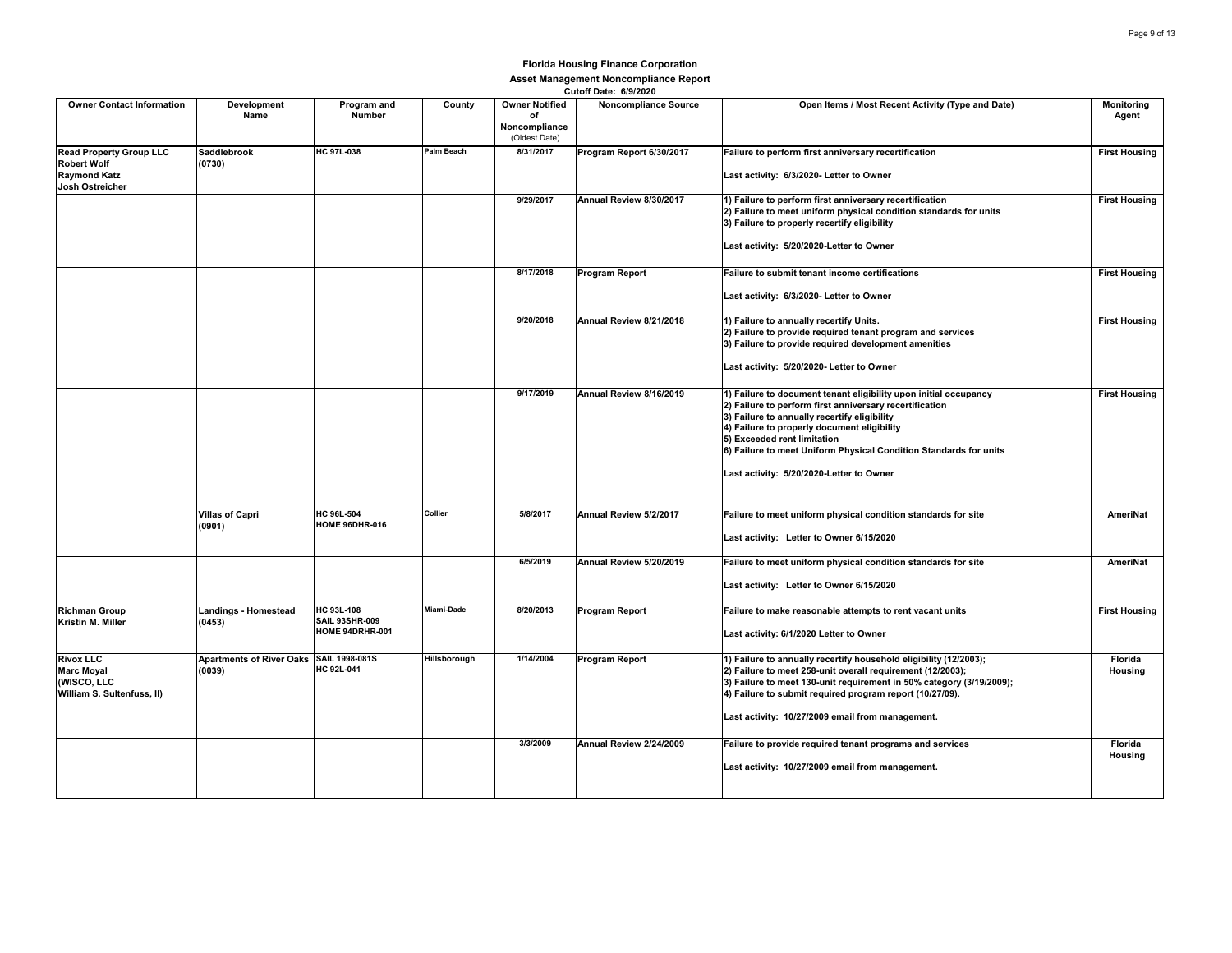| <b>Owner Contact Information</b>                                                               | Development<br>Name                               | Program and<br>Number                                  | County            | <b>Owner Notified</b><br>of<br>Noncompliance<br>(Oldest Date) | VULUII DOLG. VIJILVLV<br><b>Noncompliance Source</b> | Open Items / Most Recent Activity (Type and Date)                                                                                                                                                                                                                                                                                                                          | Monitoring<br>Agent  |
|------------------------------------------------------------------------------------------------|---------------------------------------------------|--------------------------------------------------------|-------------------|---------------------------------------------------------------|------------------------------------------------------|----------------------------------------------------------------------------------------------------------------------------------------------------------------------------------------------------------------------------------------------------------------------------------------------------------------------------------------------------------------------------|----------------------|
| <b>Read Property Group LLC</b><br><b>Robert Wolf</b><br><b>Raymond Katz</b><br>Josh Ostreicher | <b>Saddlebrook</b><br>(0730)                      | <b>HC 97L-038</b>                                      | <b>Palm Beach</b> | 8/31/2017                                                     | Program Report 6/30/2017                             | Failure to perform first anniversary recertification<br>Last activity: 6/3/2020- Letter to Owner                                                                                                                                                                                                                                                                           | <b>First Housing</b> |
|                                                                                                |                                                   |                                                        |                   | 9/29/2017                                                     | Annual Review 8/30/2017                              | 1) Failure to perform first anniversary recertification<br>2) Failure to meet uniform physical condition standards for units<br>3) Failure to properly recertify eligibility<br>Last activity: 5/20/2020-Letter to Owner                                                                                                                                                   | <b>First Housing</b> |
|                                                                                                |                                                   |                                                        |                   | 8/17/2018                                                     | <b>Program Report</b>                                | Failure to submit tenant income certifications<br>Last activity: 6/3/2020- Letter to Owner                                                                                                                                                                                                                                                                                 | <b>First Housing</b> |
|                                                                                                |                                                   |                                                        |                   | 9/20/2018                                                     | Annual Review 8/21/2018                              | 1) Failure to annually recertify Units.<br>2) Failure to provide required tenant program and services<br>3) Failure to provide required development amenities<br>Last activity: 5/20/2020- Letter to Owner                                                                                                                                                                 | <b>First Housing</b> |
|                                                                                                |                                                   |                                                        |                   | 9/17/2019                                                     | Annual Review 8/16/2019                              | 1) Failure to document tenant eligibility upon initial occupancy<br>2) Failure to perform first anniversary recertification<br>3) Failure to annually recertify eligibility<br>4) Failure to properly document eligibility<br>5) Exceeded rent limitation<br>6) Failure to meet Uniform Physical Condition Standards for units<br>Last activity: 5/20/2020-Letter to Owner | <b>First Housing</b> |
|                                                                                                | <b>Villas of Capri</b><br>(0901)                  | <b>HC 96L-504</b><br><b>HOME 96DHR-016</b>             | Collier           | 5/8/2017                                                      | Annual Review 5/2/2017                               | Failure to meet uniform physical condition standards for site<br>Last activity: Letter to Owner 6/15/2020                                                                                                                                                                                                                                                                  | AmeriNat             |
|                                                                                                |                                                   |                                                        |                   | 6/5/2019                                                      | Annual Review 5/20/2019                              | Failure to meet uniform physical condition standards for site<br>Last activity: Letter to Owner 6/15/2020                                                                                                                                                                                                                                                                  | AmeriNat             |
| <b>Richman Group</b><br>Kristin M. Miller                                                      | <b>Landings - Homestead</b><br>(0453)             | HC 93L-108<br><b>SAIL 93SHR-009</b><br>HOME 94DRHR-001 | Miami-Dade        | 8/20/2013                                                     | Program Report                                       | Failure to make reasonable attempts to rent vacant units<br>Last activity: 6/1/2020 Letter to Owner                                                                                                                                                                                                                                                                        | <b>First Housing</b> |
| <b>Rivox LLC</b><br><b>Marc Moyal</b><br>(WISCO, LLC<br>William S. Sultenfuss, II)             | Apartments of River Oaks SAIL 1998-081S<br>(0039) | HC 92L-041                                             | Hillsborough      | 1/14/2004                                                     | Program Report                                       | 1) Failure to annually recertify household eligibility (12/2003);<br>2) Failure to meet 258-unit overall requirement (12/2003);<br>3) Failure to meet 130-unit requirement in 50% category (3/19/2009);<br>4) Failure to submit required program report (10/27/09).<br>Last activity: 10/27/2009 email from management.                                                    | Florida<br>Housing   |
|                                                                                                |                                                   |                                                        |                   | 3/3/2009                                                      | Annual Review 2/24/2009                              | Failure to provide required tenant programs and services<br>Last activity: 10/27/2009 email from management.                                                                                                                                                                                                                                                               | Florida<br>Housing   |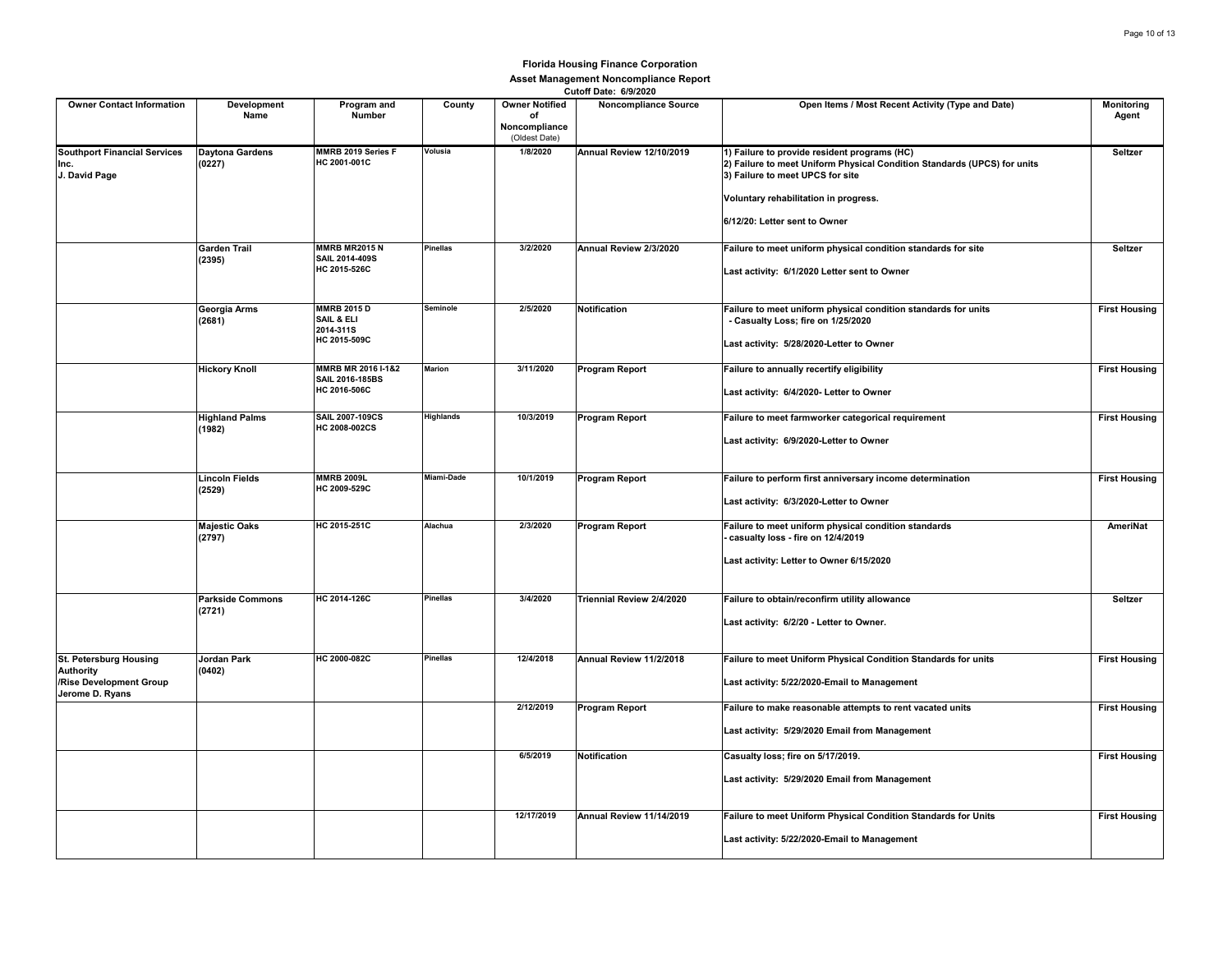| <b>Owner Contact Information</b>                                                         | Development<br>Name               | Program and<br>Number                                         | County           | <b>Owner Notified</b><br>of<br>Noncompliance<br>(Oldest Date) | <b>UULUII DALE.</b> UIJIZUZU<br><b>Noncompliance Source</b> | Open Items / Most Recent Activity (Type and Date)                                                                                                                                                                                      | <b>Monitoring</b><br>Agent |
|------------------------------------------------------------------------------------------|-----------------------------------|---------------------------------------------------------------|------------------|---------------------------------------------------------------|-------------------------------------------------------------|----------------------------------------------------------------------------------------------------------------------------------------------------------------------------------------------------------------------------------------|----------------------------|
| <b>Southport Financial Services</b><br>Inc.<br>J. David Page                             | <b>Daytona Gardens</b><br>(0227)  | MMRB 2019 Series F<br>HC 2001-001C                            | Volusia          | 1/8/2020                                                      | Annual Review 12/10/2019                                    | 1) Failure to provide resident programs (HC)<br>2) Failure to meet Uniform Physical Condition Standards (UPCS) for units<br>3) Failure to meet UPCS for site<br>Voluntary rehabilitation in progress.<br>6/12/20: Letter sent to Owner | Seltzer                    |
|                                                                                          | <b>Garden Trail</b><br>(2395)     | <b>MMRB MR2015 N</b><br>SAIL 2014-409S<br>HC 2015-526C        | Pinellas         | 3/2/2020                                                      | Annual Review 2/3/2020                                      | Failure to meet uniform physical condition standards for site<br>Last activity: 6/1/2020 Letter sent to Owner                                                                                                                          | Seltzer                    |
|                                                                                          | Georgia Arms<br>(2681)            | <b>MMRB 2015 D</b><br>SAIL & ELI<br>2014-311S<br>HC 2015-509C | Seminole         | 2/5/2020                                                      | Notification                                                | Failure to meet uniform physical condition standards for units<br>- Casualty Loss; fire on 1/25/2020<br>Last activity: 5/28/2020-Letter to Owner                                                                                       | <b>First Housing</b>       |
|                                                                                          | <b>Hickory Knoll</b>              | MMRB MR 2016 I-1&2<br>SAIL 2016-185BS<br>HC 2016-506C         | Marion           | 3/11/2020                                                     | <b>Program Report</b>                                       | Failure to annually recertify eligibility<br>Last activity: 6/4/2020- Letter to Owner                                                                                                                                                  | <b>First Housing</b>       |
|                                                                                          | <b>Highland Palms</b><br>(1982)   | SAIL 2007-109CS<br>HC 2008-002CS                              | <b>Highlands</b> | 10/3/2019                                                     | Program Report                                              | Failure to meet farmworker categorical requirement<br>Last activity: 6/9/2020-Letter to Owner                                                                                                                                          | <b>First Housing</b>       |
|                                                                                          | <b>Lincoln Fields</b><br>(2529)   | <b>MMRB 2009L</b><br>HC 2009-529C                             | Miami-Dade       | 10/1/2019                                                     | <b>Program Report</b>                                       | Failure to perform first anniversary income determination<br>Last activity: 6/3/2020-Letter to Owner                                                                                                                                   | <b>First Housing</b>       |
|                                                                                          | <b>Majestic Oaks</b><br>(2797)    | HC 2015-251C                                                  | Alachua          | 2/3/2020                                                      | Program Report                                              | Failure to meet uniform physical condition standards<br>casualty loss - fire on 12/4/2019<br>Last activity: Letter to Owner 6/15/2020                                                                                                  | AmeriNat                   |
|                                                                                          | <b>Parkside Commons</b><br>(2721) | HC 2014-126C                                                  | Pinellas         | 3/4/2020                                                      | Triennial Review 2/4/2020                                   | Failure to obtain/reconfirm utility allowance<br>Last activity: 6/2/20 - Letter to Owner.                                                                                                                                              | Seltzer                    |
| St. Petersburg Housing<br><b>Authority</b><br>/Rise Development Group<br>Jerome D. Ryans | Jordan Park<br>(0402)             | HC 2000-082C                                                  | <b>Pinellas</b>  | 12/4/2018                                                     | Annual Review 11/2/2018                                     | Failure to meet Uniform Physical Condition Standards for units<br>Last activity: 5/22/2020-Email to Management                                                                                                                         | <b>First Housing</b>       |
|                                                                                          |                                   |                                                               |                  | 2/12/2019                                                     | <b>Program Report</b>                                       | Failure to make reasonable attempts to rent vacated units<br>Last activity: 5/29/2020 Email from Management                                                                                                                            | <b>First Housing</b>       |
|                                                                                          |                                   |                                                               |                  | 6/5/2019                                                      | Notification                                                | Casualty loss; fire on 5/17/2019.<br>Last activity: 5/29/2020 Email from Management                                                                                                                                                    | <b>First Housing</b>       |
|                                                                                          |                                   |                                                               |                  | 12/17/2019                                                    | Annual Review 11/14/2019                                    | Failure to meet Uniform Physical Condition Standards for Units<br>Last activity: 5/22/2020-Email to Management                                                                                                                         | <b>First Housing</b>       |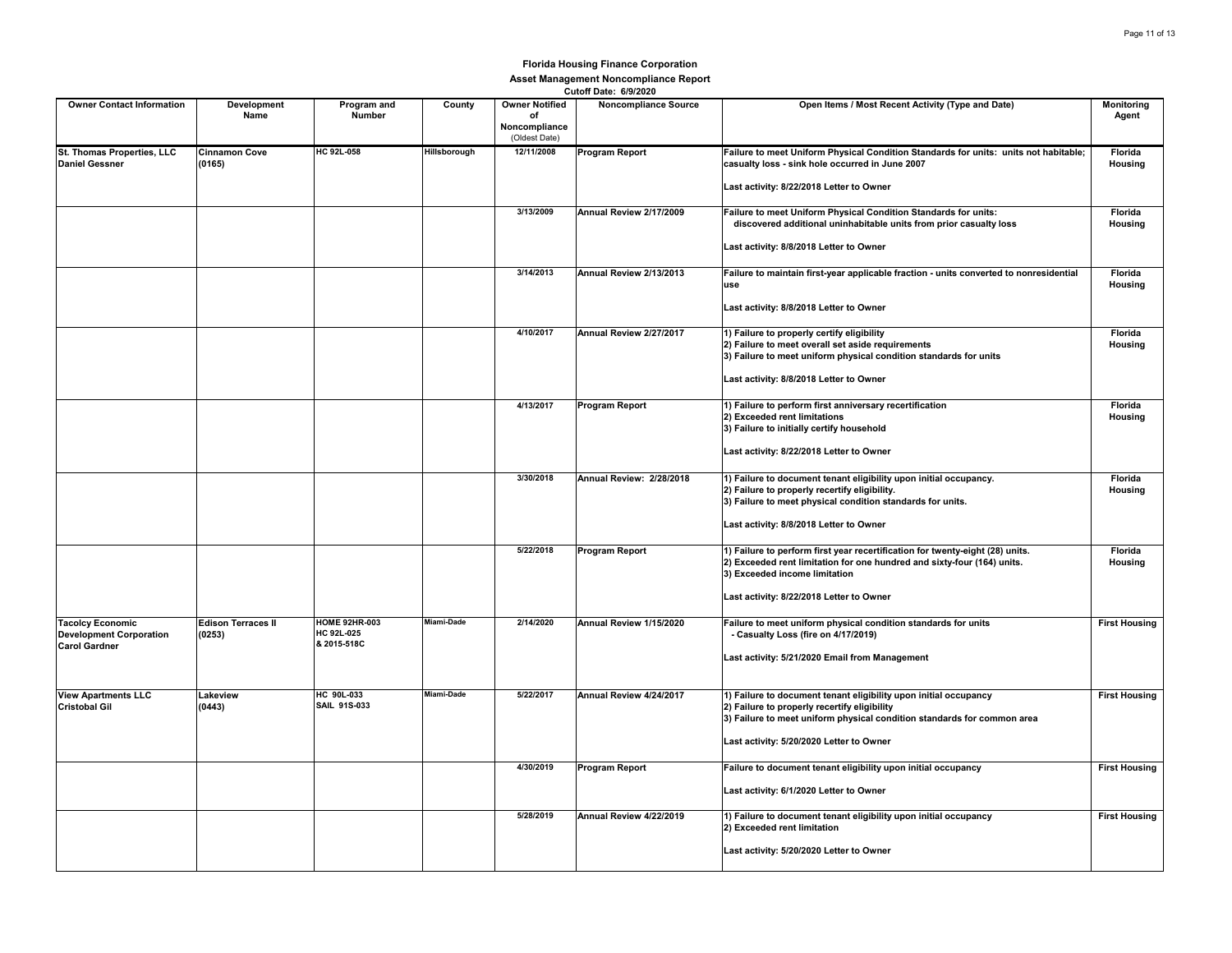| <b>Owner Contact Information</b>                                                  | Development<br>Name                 | Program and<br>Number                             | County       | <b>Owner Notified</b><br>of<br>Noncompliance<br>(Oldest Date) | <b>Noncompliance Source</b> | Open Items / Most Recent Activity (Type and Date)                                                                                                                                                                                       | Monitoring<br>Agent       |
|-----------------------------------------------------------------------------------|-------------------------------------|---------------------------------------------------|--------------|---------------------------------------------------------------|-----------------------------|-----------------------------------------------------------------------------------------------------------------------------------------------------------------------------------------------------------------------------------------|---------------------------|
| St. Thomas Properties, LLC<br><b>Daniel Gessner</b>                               | <b>Cinnamon Cove</b><br>(0165)      | <b>HC 92L-058</b>                                 | Hillsborough | 12/11/2008                                                    | <b>Program Report</b>       | Failure to meet Uniform Physical Condition Standards for units: units not habitable;<br>casualty loss - sink hole occurred in June 2007<br>Last activity: 8/22/2018 Letter to Owner                                                     | Florida<br>Housing        |
|                                                                                   |                                     |                                                   |              | 3/13/2009                                                     | Annual Review 2/17/2009     | Failure to meet Uniform Physical Condition Standards for units:<br>discovered additional uninhabitable units from prior casualty loss<br>Last activity: 8/8/2018 Letter to Owner                                                        | Florida<br>Housing        |
|                                                                                   |                                     |                                                   |              | 3/14/2013                                                     | Annual Review 2/13/2013     | Failure to maintain first-year applicable fraction - units converted to nonresidential<br>use<br>Last activity: 8/8/2018 Letter to Owner                                                                                                | <b>Florida</b><br>Housing |
|                                                                                   |                                     |                                                   |              | 4/10/2017                                                     | Annual Review 2/27/2017     | 1) Failure to properly certify eligibility<br>2) Failure to meet overall set aside requirements<br>3) Failure to meet uniform physical condition standards for units<br>Last activity: 8/8/2018 Letter to Owner                         | Florida<br>Housing        |
|                                                                                   |                                     |                                                   |              | 4/13/2017                                                     | <b>Program Report</b>       | 1) Failure to perform first anniversary recertification<br>2) Exceeded rent limitations<br>3) Failure to initially certify household<br>Last activity: 8/22/2018 Letter to Owner                                                        | Florida<br>Housing        |
|                                                                                   |                                     |                                                   |              | 3/30/2018                                                     | Annual Review: 2/28/2018    | 1) Failure to document tenant eligibility upon initial occupancy.<br>2) Failure to properly recertify eligibility.<br>3) Failure to meet physical condition standards for units.<br>Last activity: 8/8/2018 Letter to Owner             | Florida<br>Housing        |
|                                                                                   |                                     |                                                   |              | 5/22/2018                                                     | <b>Program Report</b>       | 1) Failure to perform first year recertification for twenty-eight (28) units.<br>2) Exceeded rent limitation for one hundred and sixty-four (164) units.<br>3) Exceeded income limitation<br>Last activity: 8/22/2018 Letter to Owner   | Florida<br>Housing        |
| <b>Tacolcy Economic</b><br><b>Development Corporation</b><br><b>Carol Gardner</b> | <b>Edison Terraces II</b><br>(0253) | <b>HOME 92HR-003</b><br>HC 92L-025<br>& 2015-518C | Miami-Dade   | 2/14/2020                                                     | Annual Review 1/15/2020     | Failure to meet uniform physical condition standards for units<br>- Casualty Loss (fire on 4/17/2019)<br>Last activity: 5/21/2020 Email from Management                                                                                 | <b>First Housing</b>      |
| <b>View Apartments LLC</b><br><b>Cristobal Gil</b>                                | Lakeview<br>(0443)                  | HC 90L-033<br><b>SAIL 91S-033</b>                 | Miami-Dade   | 5/22/2017                                                     | Annual Review 4/24/2017     | 1) Failure to document tenant eligibility upon initial occupancy<br>2) Failure to properly recertify eligibility<br>3) Failure to meet uniform physical condition standards for common area<br>Last activity: 5/20/2020 Letter to Owner | <b>First Housing</b>      |
|                                                                                   |                                     |                                                   |              | 4/30/2019                                                     | <b>Program Report</b>       | Failure to document tenant eligibility upon initial occupancy<br>Last activity: 6/1/2020 Letter to Owner                                                                                                                                | <b>First Housing</b>      |
|                                                                                   |                                     |                                                   |              | 5/28/2019                                                     | Annual Review 4/22/2019     | 1) Failure to document tenant eligibility upon initial occupancy<br>2) Exceeded rent limitation<br>Last activity: 5/20/2020 Letter to Owner                                                                                             | <b>First Housing</b>      |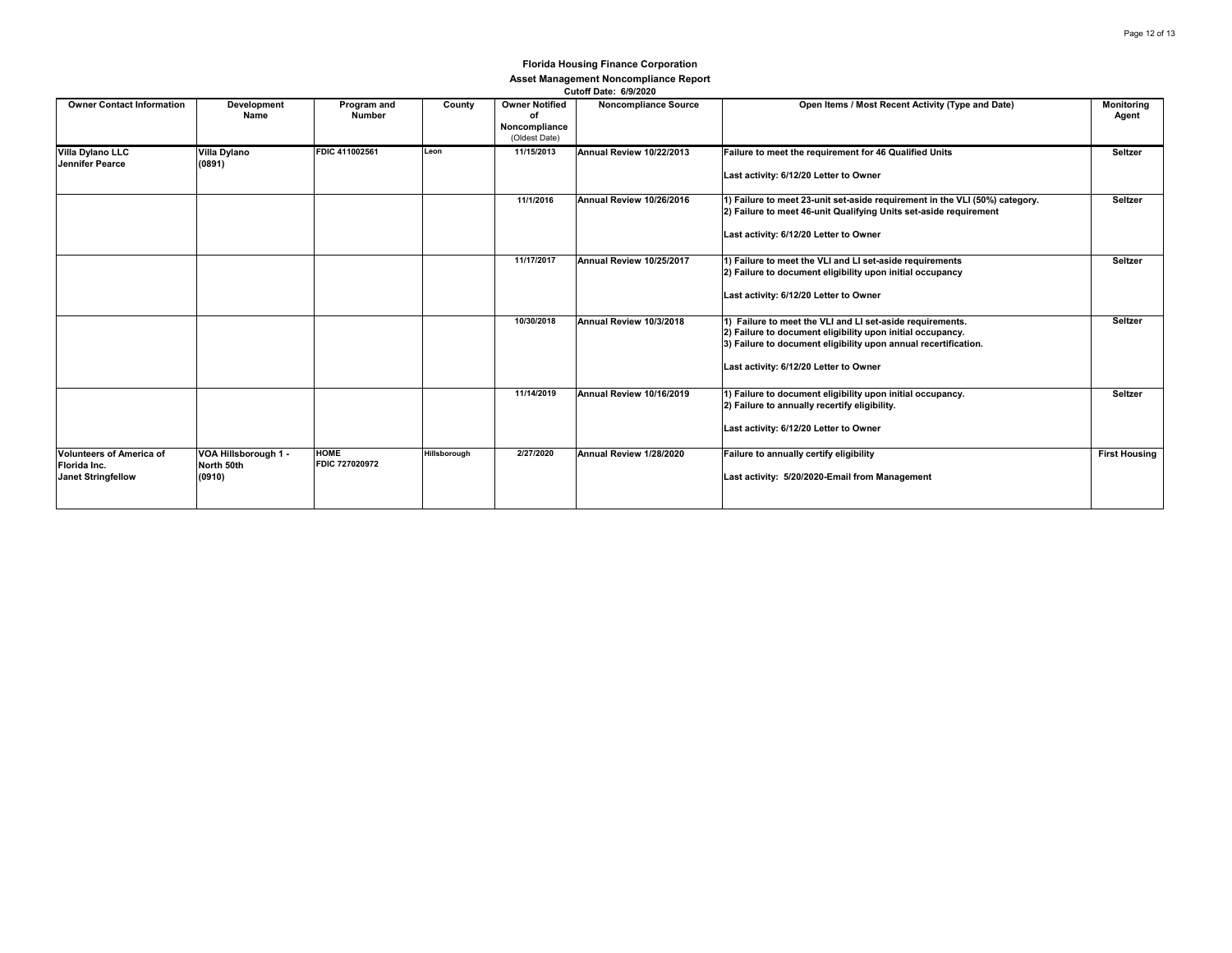|                                                                              |                                              |                               |              |                                                               | $940011$ Puty. $97912925$   |                                                                                                                                                                                                                                      |                            |
|------------------------------------------------------------------------------|----------------------------------------------|-------------------------------|--------------|---------------------------------------------------------------|-----------------------------|--------------------------------------------------------------------------------------------------------------------------------------------------------------------------------------------------------------------------------------|----------------------------|
| <b>Owner Contact Information</b>                                             | Development<br>Name                          | Program and<br><b>Number</b>  | County       | <b>Owner Notified</b><br>of<br>Noncompliance<br>(Oldest Date) | <b>Noncompliance Source</b> | Open Items / Most Recent Activity (Type and Date)                                                                                                                                                                                    | <b>Monitoring</b><br>Agent |
| Villa Dylano LLC<br>Jennifer Pearce                                          | Villa Dylano<br>(0891)                       | FDIC 411002561                | Leon         | 11/15/2013                                                    | Annual Review 10/22/2013    | Failure to meet the requirement for 46 Qualified Units<br>Last activity: 6/12/20 Letter to Owner                                                                                                                                     | Seltzer                    |
|                                                                              |                                              |                               |              | 11/1/2016                                                     | Annual Review 10/26/2016    | 1) Failure to meet 23-unit set-aside requirement in the VLI (50%) category.<br>2) Failure to meet 46-unit Qualifying Units set-aside requirement<br>Last activity: 6/12/20 Letter to Owner                                           | Seltzer                    |
|                                                                              |                                              |                               |              | 11/17/2017                                                    | Annual Review 10/25/2017    | 1) Failure to meet the VLI and LI set-aside requirements<br>2) Failure to document eligibility upon initial occupancy<br>Last activity: 6/12/20 Letter to Owner                                                                      | Seltzer                    |
|                                                                              |                                              |                               |              | 10/30/2018                                                    | Annual Review 10/3/2018     | 1) Failure to meet the VLI and LI set-aside requirements.<br>2) Failure to document eligibility upon initial occupancy.<br>3) Failure to document eligibility upon annual recertification.<br>Last activity: 6/12/20 Letter to Owner | Seltzer                    |
|                                                                              |                                              |                               |              | 11/14/2019                                                    | Annual Review 10/16/2019    | 1) Failure to document eligibility upon initial occupancy.<br>2) Failure to annually recertify eligibility.<br>Last activity: 6/12/20 Letter to Owner                                                                                | Seltzer                    |
| <b>Volunteers of America of</b><br>Florida Inc.<br><b>Janet Stringfellow</b> | VOA Hillsborough 1 -<br>North 50th<br>(0910) | <b>HOME</b><br>FDIC 727020972 | Hillsborough | 2/27/2020                                                     | Annual Review 1/28/2020     | Failure to annually certify eligibility<br>Last activity: 5/20/2020-Email from Management                                                                                                                                            | <b>First Housing</b>       |